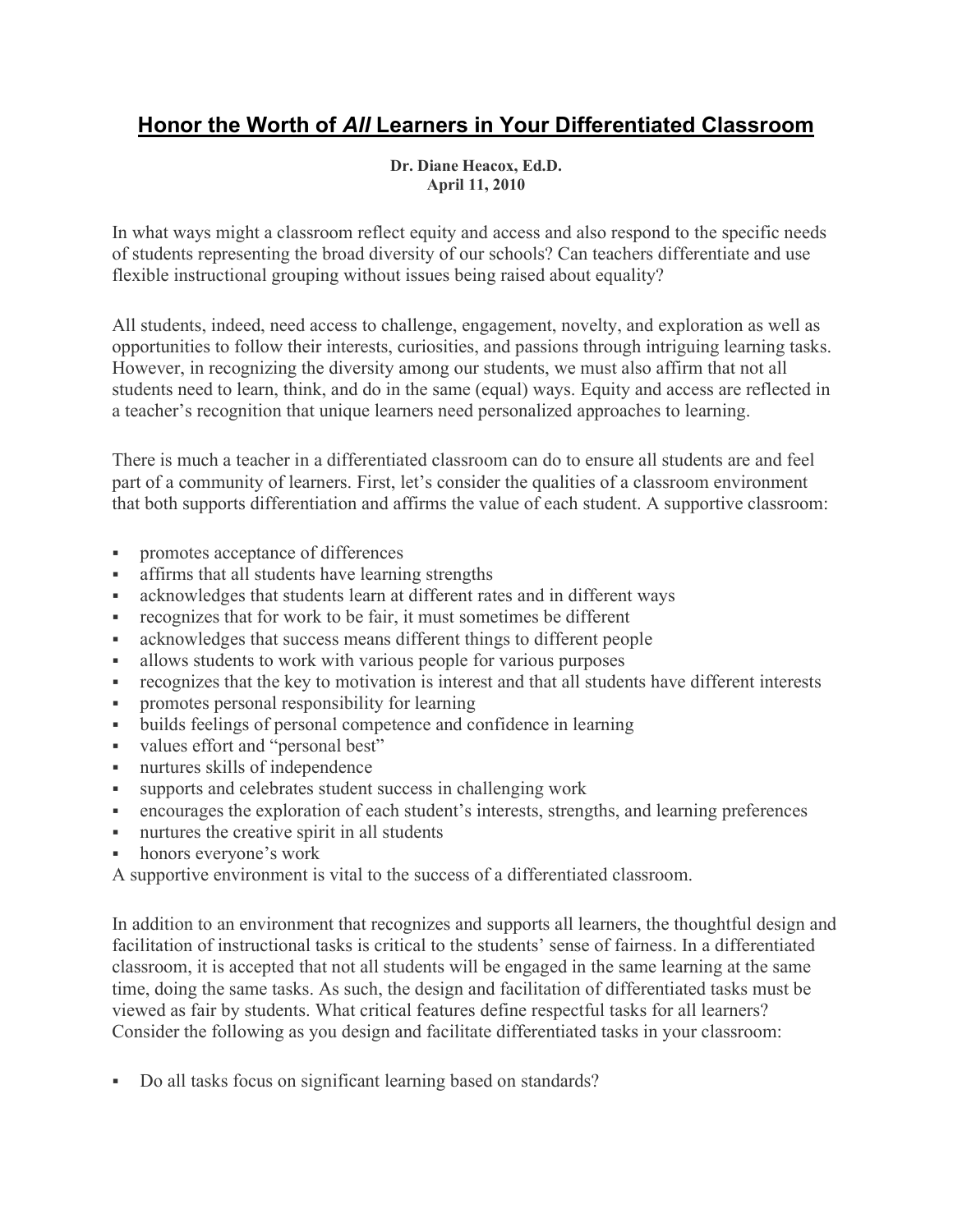## Honor the Worth of All Learners in Your Differentiated Classroom

## Dr. Diane Heacox, Ed.D. April 11, 2010

In what ways might a classroom reflect equity and access and also respond to the specific needs of students representing the broad diversity of our schools? Can teachers differentiate and use flexible instructional grouping without issues being raised about equality?

All students, indeed, need access to challenge, engagement, novelty, and exploration as well as opportunities to follow their interests, curiosities, and passions through intriguing learning tasks. However, in recognizing the diversity among our students, we must also affirm that not all students need to learn, think, and do in the same (equal) ways. Equity and access are reflected in a teacher's recognition that unique learners need personalized approaches to learning.

There is much a teacher in a differentiated classroom can do to ensure all students are and feel part of a community of learners. First, let's consider the qualities of a classroom environment that both supports differentiation and affirms the value of each student. A supportive classroom:

- promotes acceptance of differences
- affirms that all students have learning strengths
- acknowledges that students learn at different rates and in different ways
- recognizes that for work to be fair, it must sometimes be different
- acknowledges that success means different things to different people
- allows students to work with various people for various purposes
- recognizes that the key to motivation is interest and that all students have different interests
- promotes personal responsibility for learning
- builds feelings of personal competence and confidence in learning
- values effort and "personal best"
- nurtures skills of independence
- supports and celebrates student success in challenging work
- encourages the exploration of each student's interests, strengths, and learning preferences
- nurtures the creative spirit in all students
- honors everyone's work

A supportive environment is vital to the success of a differentiated classroom.

In addition to an environment that recognizes and supports all learners, the thoughtful design and facilitation of instructional tasks is critical to the students' sense of fairness. In a differentiated classroom, it is accepted that not all students will be engaged in the same learning at the same time, doing the same tasks. As such, the design and facilitation of differentiated tasks must be viewed as fair by students. What critical features define respectful tasks for all learners? Consider the following as you design and facilitate differentiated tasks in your classroom:

Do all tasks focus on significant learning based on standards?